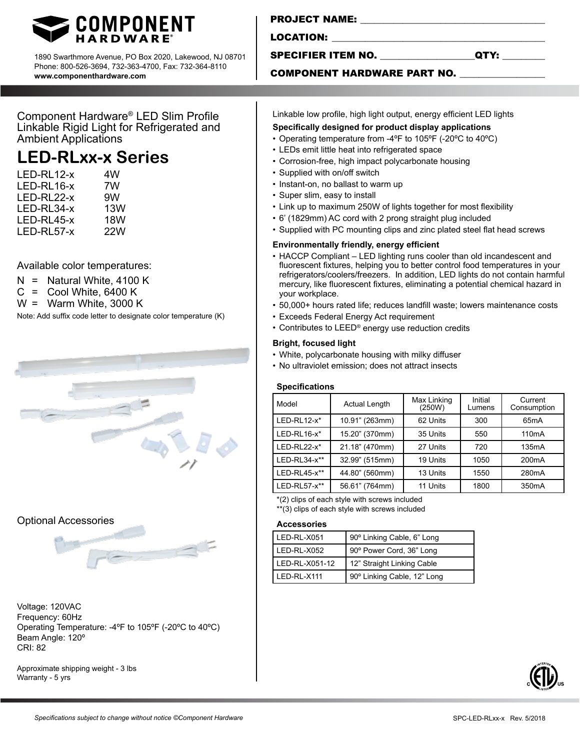

1890 Swarthmore Avenue, PO Box 2020, Lakewood, NJ 08701 Phone: 800-526-3694, 732-363-4700, Fax: 732-364-8110 **www.componenthardware.com**

Component Hardware® LED Slim Profile Linkable Rigid Light for Refrigerated and Ambient Applications

# **LED-RLxx-x Series**

| 4W  |
|-----|
| 7W  |
| 9W  |
| 13W |
| 18W |
| 22W |
|     |

Available color temperatures:

- 
- $N =$  Natural White, 4100 K<br> $C =$  Cool White, 6400 K  $=$  Cool White, 6400 K
- W = Warm White, 3000 K

Note: Add suffix code letter to designate color temperature (K)



# Optional Accessories

Voltage: 120VAC Frequency: 60Hz Operating Temperature: -4ºF to 105ºF (-20ºC to 40ºC) Beam Angle: 120° CRI: 82

Approximate shipping weight - 3 lbs Warranty - 5 yrs

LOCATION:

## SPECIFIER ITEM NO. \_\_\_\_\_\_\_\_\_\_\_\_\_\_\_\_\_\_\_\_QTY: \_\_\_\_\_\_\_\_\_

### COMPONENT HARDWARE PART NO.

Linkable low profile, high light output, energy efficient LED lights

- **Specifically designed for product display applications**
- Operating temperature from -4ºF to 105ºF (-20ºC to 40ºC)
- LEDs emit little heat into refrigerated space
- Corrosion-free, high impact polycarbonate housing
- Supplied with on/off switch
- Instant-on, no ballast to warm up
- Super slim, easy to install
- Link up to maximum 250W of lights together for most flexibility
- 6' (1829mm) AC cord with 2 prong straight plug included
- Supplied with PC mounting clips and zinc plated steel flat head screws

#### **Environmentally friendly, energy efficient**

- HACCP Compliant LED lighting runs cooler than old incandescent and fluorescent fixtures, helping you to better control food temperatures in your refrigerators/coolers/freezers. In addition, LED lights do not contain harmful mercury, like fluorescent fixtures, eliminating a potential chemical hazard in your workplace.
- 50,000+ hours rated life; reduces landfill waste; lowers maintenance costs
- Exceeds Federal Energy Act requirement
- Contributes to LEED® energy use reduction credits

#### **Bright, focused light**

- White, polycarbonate housing with milky diffuser
- No ultraviolet emission; does not attract insects

#### **Specifications**

| Model          | <b>Actual Length</b> | Max Linking<br>(250W) | Initial<br>Lumens | Current<br>Consumption |
|----------------|----------------------|-----------------------|-------------------|------------------------|
| $LED-RL12-x*$  | 10.91" (263mm)       | 62 Units              | 300               | 65 <sub>m</sub> A      |
| $LED-RL16-x*$  | 15.20" (370mm)       | 35 Units              | 550               | 110 <sub>m</sub> A     |
| $LED-RL22-x^*$ | 21.18" (470mm)       | 27 Units              | 720               | 135mA                  |
| $LED-RL34-x**$ | 32.99" (515mm)       | 19 Units              | 1050              | 200 <sub>m</sub> A     |
| LED-RL45-x**   | 44.80" (560mm)       | 13 Units              | 1550              | 280 <sub>m</sub> A     |
| $LED-RL57-x**$ | 56.61" (764mm)       | 11 Units              | 1800              | 350 <sub>m</sub> A     |

\*(2) clips of each style with screws included

\*\*(3) clips of each style with screws included

#### **Accessories**

| LED-RL-X051    | 90° Linking Cable, 6" Long  |
|----------------|-----------------------------|
| LED-RL-X052    | 90° Power Cord, 36" Long    |
| LED-RL-X051-12 | 12" Straight Linking Cable  |
| LED-RL-X111    | 90° Linking Cable, 12" Long |